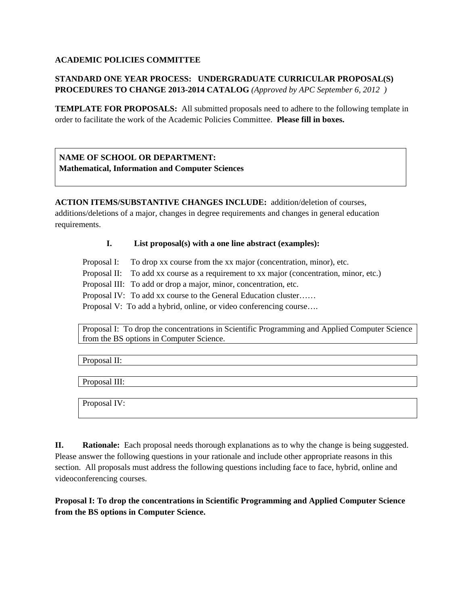### **ACADEMIC POLICIES COMMITTEE**

# **STANDARD ONE YEAR PROCESS: UNDERGRADUATE CURRICULAR PROPOSAL(S) PROCEDURES TO CHANGE 2013-2014 CATALOG** *(Approved by APC September 6, 2012 )*

**TEMPLATE FOR PROPOSALS:** All submitted proposals need to adhere to the following template in order to facilitate the work of the Academic Policies Committee. **Please fill in boxes.** 

**NAME OF SCHOOL OR DEPARTMENT: Mathematical, Information and Computer Sciences** 

**ACTION ITEMS/SUBSTANTIVE CHANGES INCLUDE:** addition/deletion of courses,

additions/deletions of a major, changes in degree requirements and changes in general education requirements.

### **I. List proposal(s) with a one line abstract (examples):**

Proposal I: To drop xx course from the xx major (concentration, minor), etc.

Proposal II: To add xx course as a requirement to xx major (concentration, minor, etc.)

Proposal III: To add or drop a major, minor, concentration, etc.

Proposal IV: To add xx course to the General Education cluster……

Proposal V: To add a hybrid, online, or video conferencing course….

Proposal I: To drop the concentrations in Scientific Programming and Applied Computer Science from the BS options in Computer Science.

Proposal II:

Proposal III:

Proposal IV:

**II. Rationale:** Each proposal needs thorough explanations as to why the change is being suggested. Please answer the following questions in your rationale and include other appropriate reasons in this section. All proposals must address the following questions including face to face, hybrid, online and videoconferencing courses.

**Proposal I: To drop the concentrations in Scientific Programming and Applied Computer Science from the BS options in Computer Science.**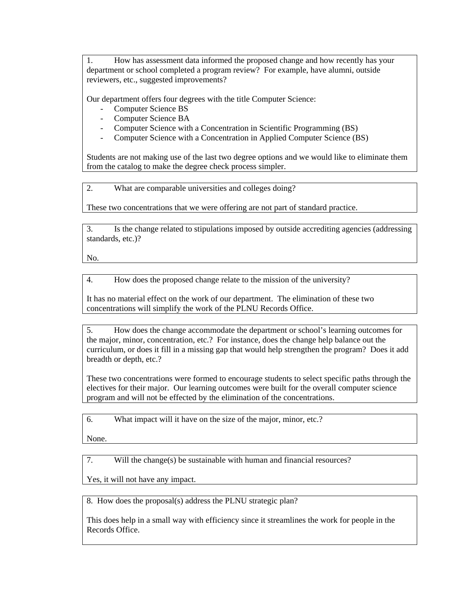1. How has assessment data informed the proposed change and how recently has your department or school completed a program review? For example, have alumni, outside reviewers, etc., suggested improvements?

Our department offers four degrees with the title Computer Science:

- Computer Science BS
- Computer Science BA
- Computer Science with a Concentration in Scientific Programming (BS)
- Computer Science with a Concentration in Applied Computer Science (BS)

Students are not making use of the last two degree options and we would like to eliminate them from the catalog to make the degree check process simpler.

2. What are comparable universities and colleges doing?

These two concentrations that we were offering are not part of standard practice.

3. Is the change related to stipulations imposed by outside accrediting agencies (addressing standards, etc.)?

No.

4. How does the proposed change relate to the mission of the university?

It has no material effect on the work of our department. The elimination of these two concentrations will simplify the work of the PLNU Records Office.

5. How does the change accommodate the department or school's learning outcomes for the major, minor, concentration, etc.? For instance, does the change help balance out the curriculum, or does it fill in a missing gap that would help strengthen the program? Does it add breadth or depth, etc.?

These two concentrations were formed to encourage students to select specific paths through the electives for their major. Our learning outcomes were built for the overall computer science program and will not be effected by the elimination of the concentrations.

6. What impact will it have on the size of the major, minor, etc.?

None.

7. Will the change(s) be sustainable with human and financial resources?

Yes, it will not have any impact.

8. How does the proposal(s) address the PLNU strategic plan?

This does help in a small way with efficiency since it streamlines the work for people in the Records Office.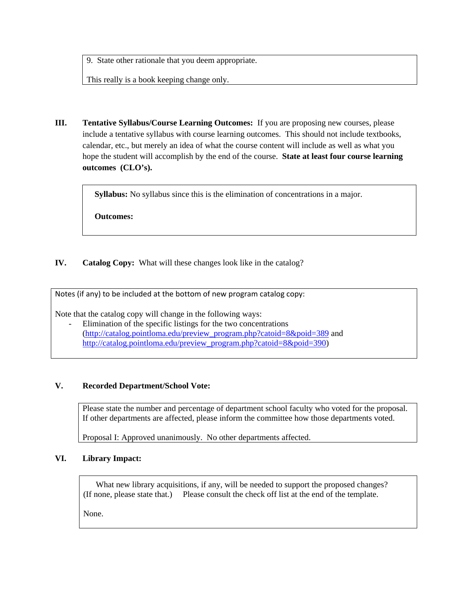9. State other rationale that you deem appropriate.

This really is a book keeping change only.

**III. Tentative Syllabus/Course Learning Outcomes:** If you are proposing new courses, please include a tentative syllabus with course learning outcomes. This should not include textbooks, calendar, etc., but merely an idea of what the course content will include as well as what you hope the student will accomplish by the end of the course. **State at least four course learning outcomes (CLO's).** 

**Syllabus:** No syllabus since this is the elimination of concentrations in a major.

**Outcomes:** 

### **IV. Catalog Copy:** What will these changes look like in the catalog?

Notes (if any) to be included at the bottom of new program catalog copy:

Note that the catalog copy will change in the following ways:

- Elimination of the specific listings for the two concentrations (http://catalog.pointloma.edu/preview\_program.php?catoid=8&poid=389 and http://catalog.pointloma.edu/preview\_program.php?catoid=8&poid=390)

#### **V. Recorded Department/School Vote:**

Please state the number and percentage of department school faculty who voted for the proposal. If other departments are affected, please inform the committee how those departments voted.

Proposal I: Approved unanimously. No other departments affected.

### **VI. Library Impact:**

What new library acquisitions, if any, will be needed to support the proposed changes? (If none, please state that.) Please consult the check off list at the end of the template.

None.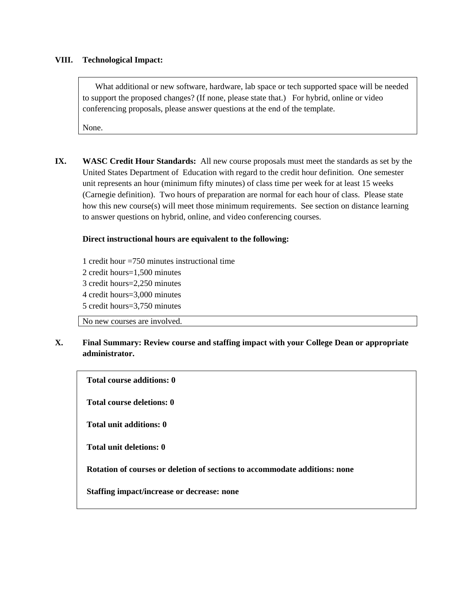#### **VIII. Technological Impact:**

 What additional or new software, hardware, lab space or tech supported space will be needed to support the proposed changes? (If none, please state that.) For hybrid, online or video conferencing proposals, please answer questions at the end of the template.

None.

**IX. WASC Credit Hour Standards:** All new course proposals must meet the standards as set by the United States Department of Education with regard to the credit hour definition. One semester unit represents an hour (minimum fifty minutes) of class time per week for at least 15 weeks (Carnegie definition). Two hours of preparation are normal for each hour of class. Please state how this new course(s) will meet those minimum requirements. See section on distance learning to answer questions on hybrid, online, and video conferencing courses.

### **Direct instructional hours are equivalent to the following:**

1 credit hour =750 minutes instructional time 2 credit hours=1,500 minutes 3 credit hours=2,250 minutes 4 credit hours=3,000 minutes 5 credit hours=3,750 minutes

No new courses are involved.

## **X. Final Summary: Review course and staffing impact with your College Dean or appropriate administrator.**

**Total course additions: 0 Total course deletions: 0 Total unit additions: 0 Total unit deletions: 0 Rotation of courses or deletion of sections to accommodate additions: none Staffing impact/increase or decrease: none**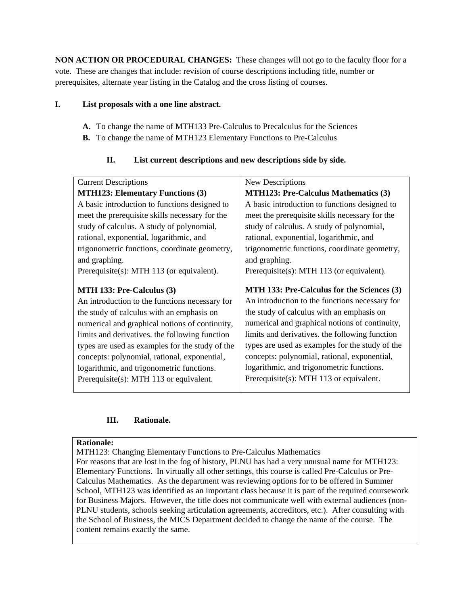**NON ACTION OR PROCEDURAL CHANGES:** These changes will not go to the faculty floor for a vote. These are changes that include: revision of course descriptions including title, number or prerequisites, alternate year listing in the Catalog and the cross listing of courses.

### **I. List proposals with a one line abstract.**

- **A.** To change the name of MTH133 Pre-Calculus to Precalculus for the Sciences
- **B.** To change the name of MTH123 Elementary Functions to Pre-Calculus

# **II. List current descriptions and new descriptions side by side.**

| <b>Current Descriptions</b>                     | New Descriptions                                |
|-------------------------------------------------|-------------------------------------------------|
| <b>MTH123: Elementary Functions (3)</b>         | <b>MTH123: Pre-Calculus Mathematics (3)</b>     |
| A basic introduction to functions designed to   | A basic introduction to functions designed to   |
| meet the prerequisite skills necessary for the  | meet the prerequisite skills necessary for the  |
| study of calculus. A study of polynomial,       | study of calculus. A study of polynomial,       |
| rational, exponential, logarithmic, and         | rational, exponential, logarithmic, and         |
| trigonometric functions, coordinate geometry,   | trigonometric functions, coordinate geometry,   |
| and graphing.                                   | and graphing.                                   |
| Prerequisite(s): MTH 113 (or equivalent).       | Prerequisite(s): MTH 113 (or equivalent).       |
|                                                 |                                                 |
|                                                 |                                                 |
| MTH 133: Pre-Calculus (3)                       | MTH 133: Pre-Calculus for the Sciences (3)      |
| An introduction to the functions necessary for  | An introduction to the functions necessary for  |
| the study of calculus with an emphasis on       | the study of calculus with an emphasis on       |
| numerical and graphical notions of continuity,  | numerical and graphical notions of continuity,  |
| limits and derivatives, the following function  | limits and derivatives, the following function  |
| types are used as examples for the study of the | types are used as examples for the study of the |
| concepts: polynomial, rational, exponential,    | concepts: polynomial, rational, exponential,    |
| logarithmic, and trigonometric functions.       | logarithmic, and trigonometric functions.       |
| Prerequisite(s): MTH $113$ or equivalent.       | Prerequisite(s): MTH $113$ or equivalent.       |

# **III. Rationale.**

### **Rationale:**

MTH123: Changing Elementary Functions to Pre-Calculus Mathematics For reasons that are lost in the fog of history, PLNU has had a very unusual name for MTH123: Elementary Functions. In virtually all other settings, this course is called Pre-Calculus or Pre-Calculus Mathematics. As the department was reviewing options for to be offered in Summer School, MTH123 was identified as an important class because it is part of the required coursework for Business Majors. However, the title does not communicate well with external audiences (non-PLNU students, schools seeking articulation agreements, accreditors, etc.). After consulting with the School of Business, the MICS Department decided to change the name of the course. The content remains exactly the same.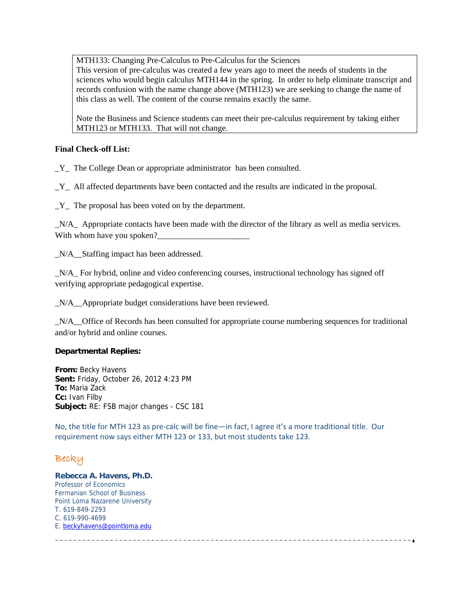MTH133: Changing Pre-Calculus to Pre-Calculus for the Sciences

This version of pre-calculus was created a few years ago to meet the needs of students in the sciences who would begin calculus MTH144 in the spring. In order to help eliminate transcript and records confusion with the name change above (MTH123) we are seeking to change the name of this class as well. The content of the course remains exactly the same.

Note the Business and Science students can meet their pre-calculus requirement by taking either MTH123 or MTH133. That will not change.

### **Final Check-off List:**

\_Y\_ The College Dean or appropriate administrator has been consulted.

 $Y$  All affected departments have been contacted and the results are indicated in the proposal.

 $Y$  The proposal has been voted on by the department.

\_N/A\_ Appropriate contacts have been made with the director of the library as well as media services. With whom have you spoken?

N/A Staffing impact has been addressed.

\_N/A\_ For hybrid, online and video conferencing courses, instructional technology has signed off verifying appropriate pedagogical expertise.

\_N/A\_\_Appropriate budget considerations have been reviewed.

\_N/A\_\_Office of Records has been consulted for appropriate course numbering sequences for traditional and/or hybrid and online courses.

#### **Departmental Replies:**

**From:** Becky Havens **Sent:** Friday, October 26, 2012 4:23 PM **To:** Maria Zack **Cc:** Ivan Filby **Subject:** RE: FSB major changes - CSC 181

No, the title for MTH 123 as pre‐calc will be fine—in fact, I agree it's a more traditional title. Our requirement now says either MTH 123 or 133, but most students take 123.

# Becky

**Rebecca A. Havens, Ph.D.**  Professor of Economics Fermanian School of Business Point Loma Nazarene University T. 619-849-2293 C. 619-990-4699 E. beckyhavens@pointloma.edu